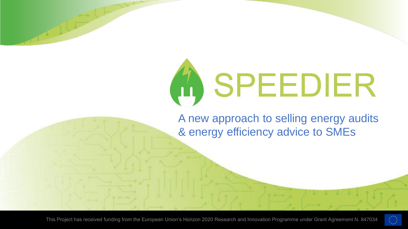# A SPEEDIER

A new approach to selling energy audits & energy efficiency advice to SMEs

This Project has received funding from the European Union's Horizon 2020 Research and Innovation Programme under Grant Agreement N. 847034

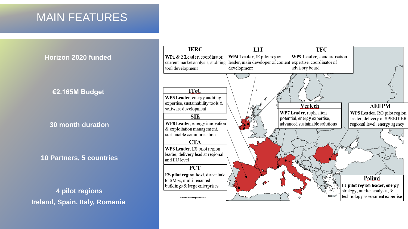### MAIN FEATURES

**Horizon 2020 funded**

#### **€2.165M Budget**

**30 month duration**

**10 Partners, 5 countries**

**4 pilot regions Ireland, Spain, Italy, Romania** 

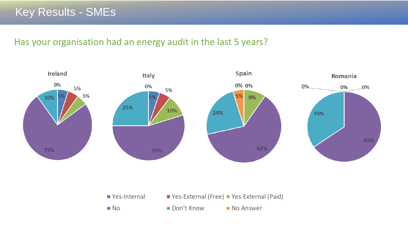#### Has your organisation had an energy audit in the last 5 years?



■ Yes-Internal ■ Yes-External (Free) ■ Yes-External (Paid)  $\blacksquare$  Don't Know  $\blacksquare$  No No Answer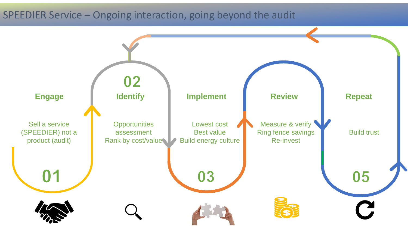#### SPEEDIER Service – Ongoing interaction, going beyond the audit

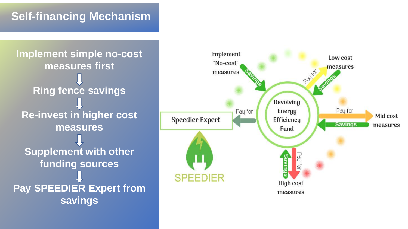## **Self-financing Mechanism**

**Implement simple no-cost measures first Ring fence savings Re-invest in higher cost measures Supplement with other funding sources Pay SPEEDIER Expert from savings**